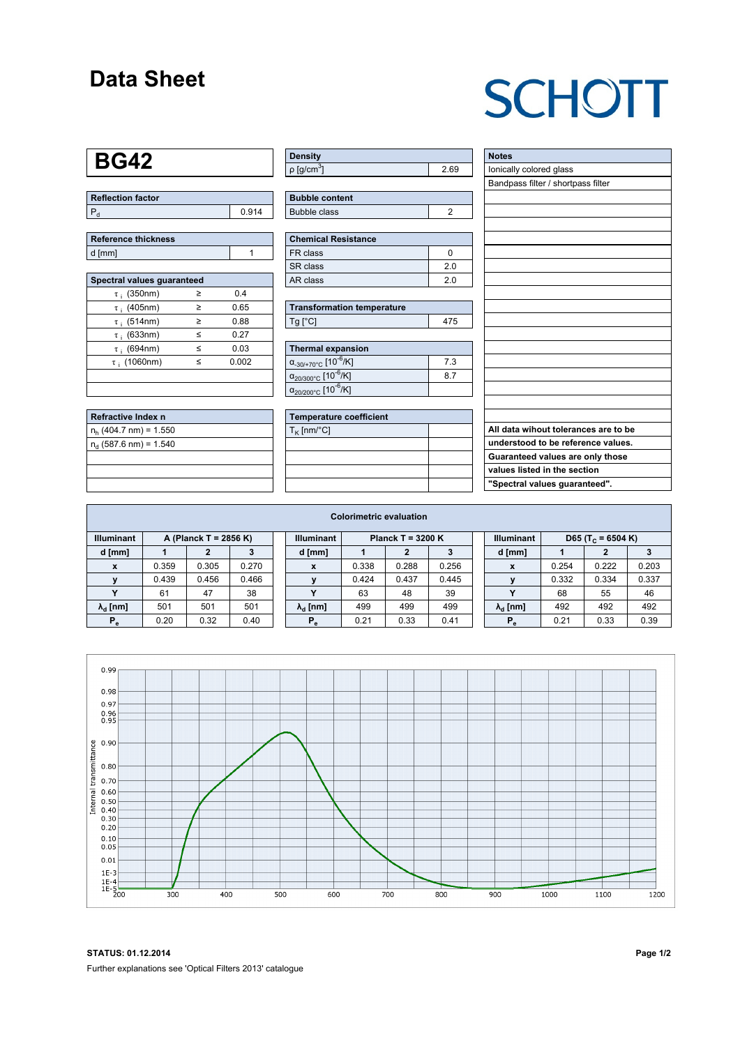### **Data Sheet**

# **SCHOTT**

### **BG42**

| Reflection factor |       |  |  |  |  |
|-------------------|-------|--|--|--|--|
|                   | 0.914 |  |  |  |  |

| Reference thickness |  |
|---------------------|--|
| d [mm]              |  |

| Spectral values quaranteed |         |       |  |  |  |  |  |  |  |
|----------------------------|---------|-------|--|--|--|--|--|--|--|
| $\tau$ ; (350nm)           | ≥       | 0.4   |  |  |  |  |  |  |  |
| $\tau$ ; (405nm)           | ≥       | 0.65  |  |  |  |  |  |  |  |
| $\tau$ ; (514nm)           | ≥       | 0.88  |  |  |  |  |  |  |  |
| $\tau$ ; (633nm)           | ≤       | 0.27  |  |  |  |  |  |  |  |
| $\tau$ ; (694nm)           | $\,<\,$ | 0.03  |  |  |  |  |  |  |  |
| $\tau$ ; (1060nm)          | <       | 0.002 |  |  |  |  |  |  |  |
|                            |         |       |  |  |  |  |  |  |  |
|                            |         |       |  |  |  |  |  |  |  |

| Refractive Index n       |  |
|--------------------------|--|
| $n_h$ (404.7 nm) = 1.550 |  |
| $n_d$ (587.6 nm) = 1.540 |  |
|                          |  |
|                          |  |
|                          |  |

| <b>Density</b>           |      |
|--------------------------|------|
| $p$ [g/cm <sup>3</sup> ] | 2.69 |

| <b>Bubble content</b> |  |
|-----------------------|--|
| Bubble class          |  |

 $\overline{1}$ 

| Chemical Resistance |     |  |  |  |  |
|---------------------|-----|--|--|--|--|
| FR class            |     |  |  |  |  |
| SR class            | 20  |  |  |  |  |
| l AR class          | 2 በ |  |  |  |  |

| <b>Transformation temperature</b> |     |
|-----------------------------------|-----|
| $Ta$ $C1$                         | 475 |

| Thermal expansion                                 |    |  |  |  |  |  |
|---------------------------------------------------|----|--|--|--|--|--|
| $\alpha_{.30/+70\degree}$ C [10 <sup>-6</sup> /K] | 73 |  |  |  |  |  |
| $\alpha_{20/300^{\circ}C}$ [10 <sup>-6</sup> /K]  | 87 |  |  |  |  |  |
| $\alpha_{20/200^{\circ}C}$ [10 $\overline{6}$ /K] |    |  |  |  |  |  |

| Temperature coefficient |  |
|-------------------------|--|
| $T_{\rm K}$ [nm/°C]     |  |
|                         |  |
|                         |  |
|                         |  |
|                         |  |

| <b>Notes</b>                         |
|--------------------------------------|
| lonically colored glass              |
| Bandpass filter / shortpass filter   |
|                                      |
|                                      |
|                                      |
|                                      |
|                                      |
|                                      |
|                                      |
|                                      |
|                                      |
|                                      |
|                                      |
|                                      |
|                                      |
|                                      |
|                                      |
|                                      |
|                                      |
| All data wihout tolerances are to be |
| understood to be reference values.   |
| Guaranteed values are only those     |
| values listed in the section         |
| "Spectral values guaranteed".        |

| <b>Colorimetric evaluation</b> |       |                                            |       |  |                        |                     |       |       |                   |                        |                               |       |       |
|--------------------------------|-------|--------------------------------------------|-------|--|------------------------|---------------------|-------|-------|-------------------|------------------------|-------------------------------|-------|-------|
| <b>Illuminant</b>              |       | <b>Illuminant</b><br>A (Planck T = 2856 K) |       |  |                        | Planck T = $3200 K$ |       |       | <b>Illuminant</b> |                        | D65 (T <sub>c</sub> = 6504 K) |       |       |
| d [mm]                         |       |                                            |       |  | d [mm]                 |                     |       |       |                   | d [mm]                 |                               | 2     |       |
| $\mathbf{x}$                   | 0.359 | 0.305                                      | 0.270 |  | x                      | 0.338               | 0.288 | 0.256 |                   | X                      | 0.254                         | 0.222 | 0.203 |
|                                | 0.439 | 0.456                                      | 0.466 |  | $\mathbf{v}$           | 0.424               | 0.437 | 0.445 |                   |                        | 0.332                         | 0.334 | 0.337 |
| $\mathbf{v}$                   | 61    | 47                                         | 38    |  | v                      | 63                  | 48    | 39    |                   |                        | 68                            | 55    | 46    |
| $\lambda_{\rm d}$ [nm]         | 501   | 501                                        | 501   |  | $\lambda_{\rm d}$ [nm] | 499                 | 499   | 499   |                   | $\lambda_{\rm d}$ [nm] | 492                           | 492   | 492   |
| $P_e$                          | 0.20  | 0.32                                       | 0.40  |  | $P_e$                  | 0.21                | 0.33  | 0.41  |                   | $P_e$                  | 0.21                          | 0.33  | 0.39  |
|                                |       |                                            |       |  |                        |                     |       |       |                   |                        |                               |       |       |



**STATUS: 01.12.2014 Page 1/2** Further explanations see 'Optical Filters 2013' catalogue